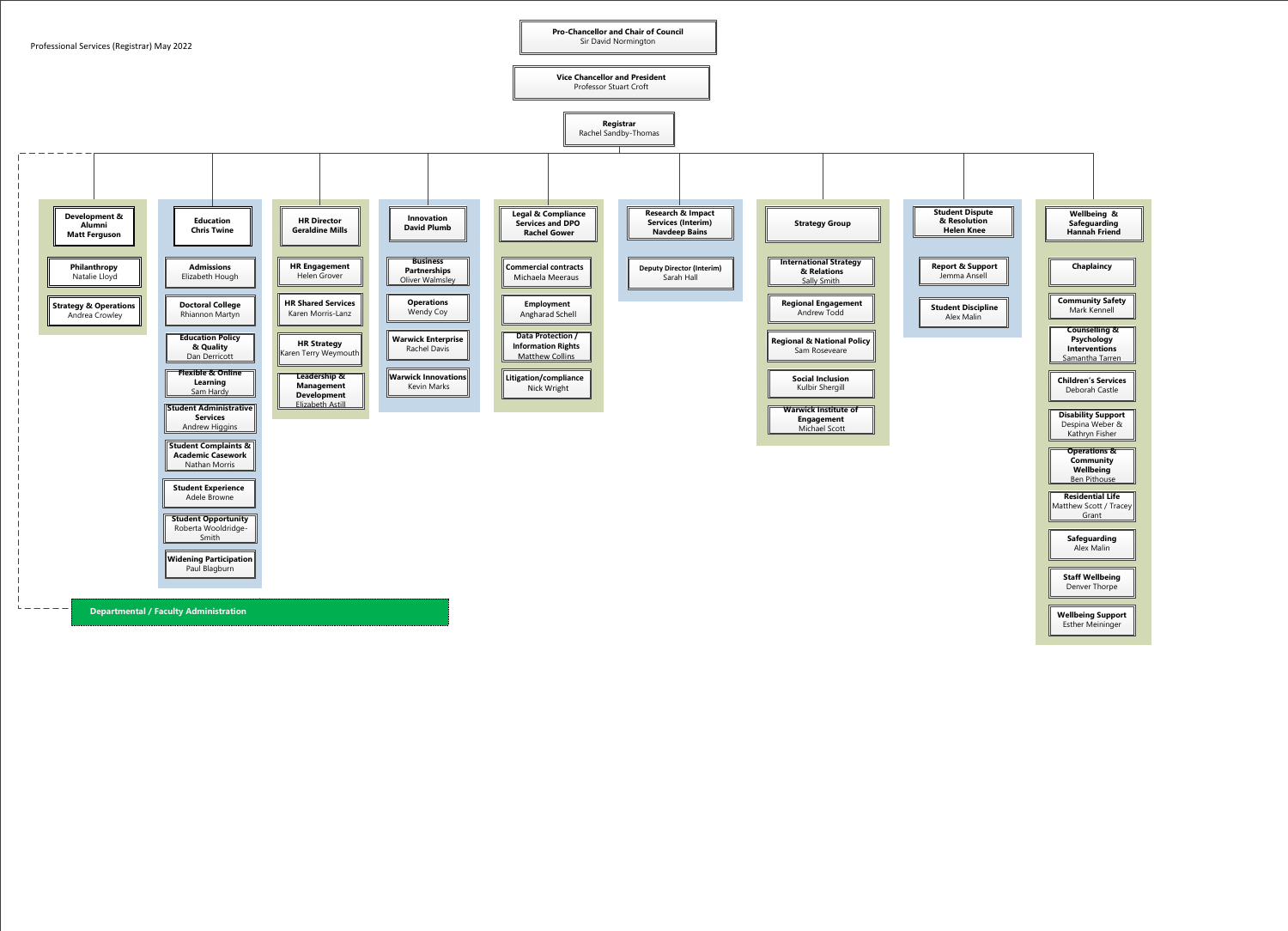

**Vice Chancellor and President**  Professor Stuart Croft